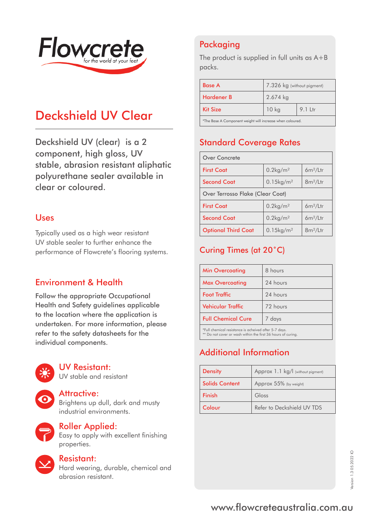

# Deckshield UV Clear

Deckshield UV (clear) is a 2 component, high gloss, UV stable, abrasion resistant aliphatic polyurethane sealer available in clear or coloured.

#### Uses

Typically used as a high wear resistant UV stable sealer to further enhance the performance of Flowcrete's flooring systems.

### Environment & Health

Follow the appropriate Occupational Health and Safety guidelines applicable to the location where the application is undertaken. For more information, please refer to the safety datasheets for the individual components.



#### UV Resistant:

UV stable and resistant

#### Attractive:

Brightens up dull, dark and musty industrial environments.



#### Roller Applied:

Easy to apply with excellent finishing properties.



#### Resistant:

Hard wearing, durable, chemical and abrasion resistant.

# Packaging

The product is supplied in full units as A+B packs.

| <b>Base A</b>                                             | 7.326 kg (without pigment) |           |
|-----------------------------------------------------------|----------------------------|-----------|
| Hardener B                                                | 2.674 kg                   |           |
| <b>Kit Size</b>                                           | 10 kg                      | $9.1$ Ltr |
| *The Base A Component weight will increase when coloured. |                            |           |

Standard Coverage Rates

| <b>Over Concrete</b>                    |                          |             |
|-----------------------------------------|--------------------------|-------------|
| <b>First Coat</b>                       | $0.2$ kg/m <sup>2</sup>  | $6m^2/L$ tr |
| <b>Second Coat</b>                      | $0.15$ kg/m <sup>2</sup> | $8m^2/L$ tr |
| <b>Over Terrosso Flake (Clear Coat)</b> |                          |             |
| <b>First Coat</b>                       | $0.2$ kg/m <sup>2</sup>  | $6m^2/L$ tr |
| <b>Second Coat</b>                      | $0.2$ kg/m <sup>2</sup>  | $6m^2/L$ tr |
| <b>Optional Third Coat</b>              | $0.15$ kg/m <sup>2</sup> | $8m^2/L$ tr |

### Curing Times (at 20˚C)

| <b>Min Overcoating</b>                                | 8 hours  |
|-------------------------------------------------------|----------|
| <b>Max Overcoating</b>                                | 24 hours |
| <b>Foot Traffic</b>                                   | 24 hours |
| <b>Vehicular Traffic</b>                              | 72 hours |
| <b>Full Chemical Cure</b>                             | 7 days   |
| *Full chemical resistance is acheived after 5-7 days. |          |

\*Full chemical resistance is acheived after 5-7 days. \*\* Do not cover or wash within the first 36 hours of curing.

## Additional Information

| <b>Density</b>        | Approx 1.1 kg/l (without pigment) |
|-----------------------|-----------------------------------|
| <b>Solids Content</b> | Approx 55% (by weight)            |
| Finish                | Gloss                             |
| Colour                | Refer to Deckshield UV TDS        |

# www.flowcreteaustralia.com.au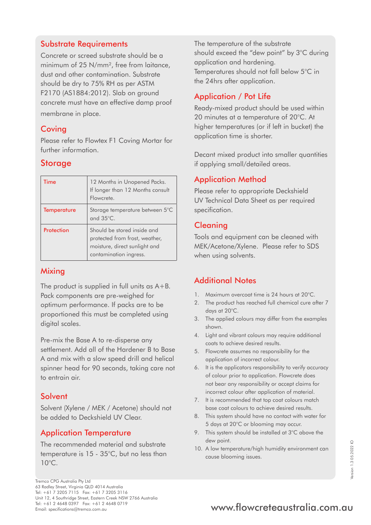### Substrate Requirements

Concrete or screed substrate should be a minimum of 25 N/mm², free from laitance, dust and other contamination. Substrate should be dry to 75% RH as per ASTM F2170 (AS1884:2012). Slab on ground concrete must have an effective damp proof membrane in place.

#### **Coving**

Please refer to Flowtex F1 Coving Mortar for further information.

### **Storage**

| Time               | 12 Months in Unopened Packs.<br>If longer than 12 Months consult<br>Flowcrete.                                           |
|--------------------|--------------------------------------------------------------------------------------------------------------------------|
| <b>Temperature</b> | Storage temperature between 5°C<br>and 35°C.                                                                             |
| Protection         | Should be stored inside and<br>protected from frost, weather,<br>moisture, direct sunlight and<br>contamination ingress. |

#### **Mixing**

The product is supplied in full units as A+B. Pack components are pre-weighed for optimum performance. If packs are to be proportioned this must be completed using digital scales.

Pre-mix the Base A to re-disperse any settlement. Add all of the Hardener B to Base A and mix with a slow speed drill and helical spinner head for 90 seconds, taking care not to entrain air.

### Solvent

Solvent (Xylene / MEK / Acetone) should not be added to Deckshield UV Clear.

### Application Temperature

The recommended material and substrate temperature is 15 - 35°C, but no less than 10°C.

The temperature of the substrate should exceed the "dew point" by 3°C during application and hardening. Temperatures should not fall below 5°C in the 24hrs after application.

# Application / Pot Life

Ready-mixed product should be used within 20 minutes at a temperature of 20°C. At higher temperatures (or if left in bucket) the application time is shorter.

Decant mixed product into smaller quantities if applying small/detailed areas.

### Application Method

Please refer to appropriate Deckshield UV Technical Data Sheet as per required specification.

### Cleaning

Tools and equipment can be cleaned with MEK/Acetone/Xylene. Please refer to SDS when using solvents.

### Additional Notes

- 1. Maximum overcoat time is 24 hours at 20°C.
- 2. The product has reached full chemical cure after 7 days at 20°C.
- 3. The applied colours may differ from the examples shown.
- 4. Light and vibrant colours may require additional coats to achieve desired results.
- 5. Flowcrete assumes no responsibility for the application of incorrect colour.
- 6. It is the applicators responsibility to verify accuracy of colour prior to application. Flowcrete does not bear any responsibility or accept claims for incorrect colour after application of material.
- 7. It is recommended that top coat colours match base coat colours to achieve desired results.
- 8. This system should have no contact with water for 5 days at 20°C or blooming may occur.
- 9. This system should be installed at 3°C above the dew point.
- 10. A low temperature/high humidity environment can cause blooming issues.

# Tel: +61 2 4648 0397 Fax: +61 2 4648 0719<br>Email: specifications@tremco.com.au **www.flowcreteaustralia.com.au**